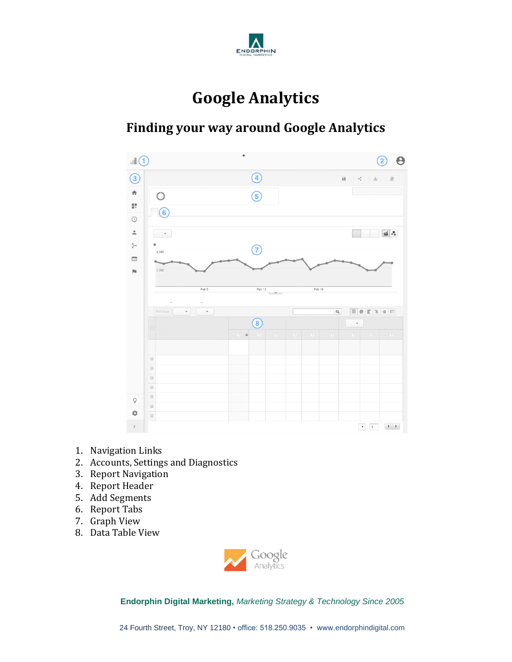

# **Google Analytics**

### **Finding your way around Google Analytics**



- 1. Navigation Links
- 2. Accounts, Settings and Diagnostics
- 3. Report Navigation
- 4. Report Header
- 5. Add Segments
- 6. Report Tabs
- 7. Graph View
- 8. Data Table View

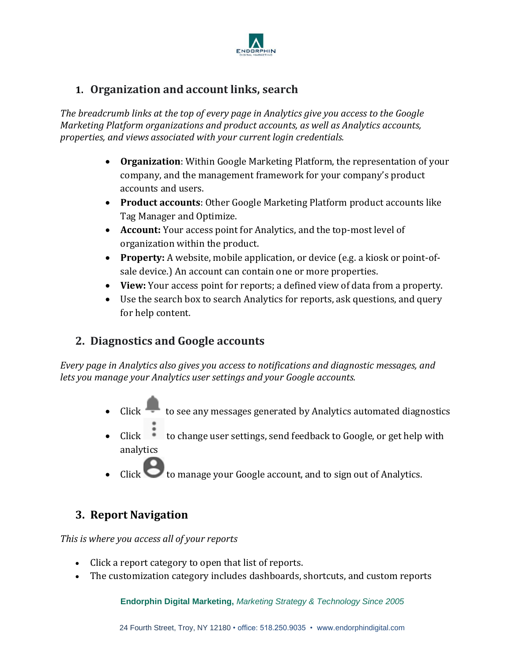

#### **1. Organization and account links, search**

*The breadcrumb links at the top of every page in Analytics give you access to the Google Marketing Platform organizations and product accounts, as well as Analytics accounts, properties, and views associated with your current login credentials.*

- **Organization**: Within Google Marketing Platform, the representation of your company, and the management framework for your company's product accounts and users.
- **Product accounts**: Other Google Marketing Platform product accounts like Tag Manager and Optimize.
- **Account:** Your access point for Analytics, and the top-most level of organization within the product.
- **Property:** A website, mobile application, or device (e.g. a kiosk or point-ofsale device.) An account can contain one or more properties.
- **View:** Your access point for reports; a defined view of data from a property.
- Use the search box to search Analytics for reports, ask questions, and query for help content.

#### **2. Diagnostics and Google accounts**

*Every page in Analytics also gives you access to notifications and diagnostic messages, and lets you manage your Analytics user settings and your Google accounts.*

- Click to see any messages generated by Analytics automated diagnostics
- Click to change user settings, send feedback to Google, or get help with analytics
- Click to manage your Google account, and to sign out of Analytics.

#### **3. Report Navigation**

*This is where you access all of your reports*

- Click a report category to open that list of reports.
- The customization category includes dashboards, shortcuts, and custom reports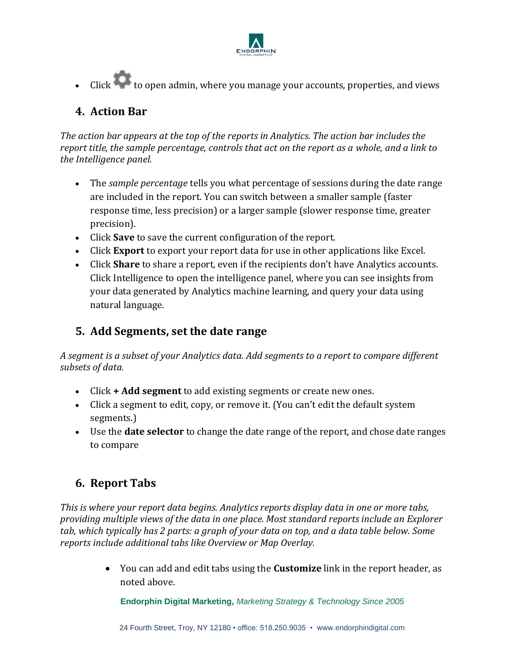

• Click to open admin, where you manage your accounts, properties, and views

#### **4. Action Bar**

*The action bar appears at the top of the reports in Analytics. The action bar includes the report title, the sample percentage, controls that act on the report as a whole, and a link to the Intelligence panel.*

- The *sample percentage* tells you what percentage of sessions during the date range are included in the report. You can switch between a smaller sample (faster response time, less precision) or a larger sample (slower response time, greater precision).
- Click **Save** to save the current configuration of the report.
- Click **Export** to export your report data for use in other applications like Excel.
- Click **Share** to share a report, even if the recipients don't have Analytics accounts. Click Intelligence to open the intelligence panel, where you can see insights from your data generated by Analytics machine learning, and query your data using natural language.

#### **5. Add Segments, set the date range**

*[A segment](https://support.google.com/analytics/answer/3123951) is a subset of your Analytics data. Add segments to a report to compare different subsets of data.*

- Click **+ Add segment** to add existing segments or create new ones.
- Click a segment to edit, copy, or remove it. (You can't edit the default system segments.)
- Use the **date selector** to change the date range of the report, and chose date ranges to compare

#### **6. Report Tabs**

*This is where your report data begins. Analytics reports display data in one or more tabs, providing multiple views of the data in one place. Most standard reports include an Explorer tab, which typically has 2 parts: a graph of your data on top, and a data table below. Some reports include additional tabs like Overview or Map Overlay.*

> • You can add and edit tabs using the **Customize** link in the report header, as noted above.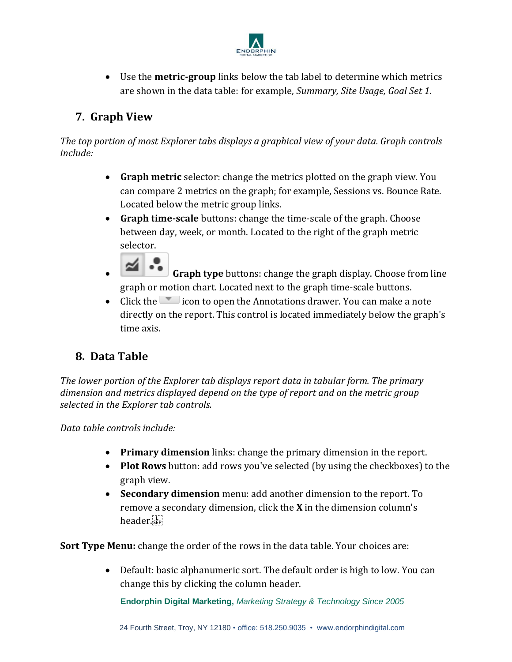

• Use the **metric-group** links below the tab label to determine which metrics are shown in the data table: for example, *Summary, Site Usage, Goal Set 1*.

#### **7. Graph View**

*The top portion of most Explorer tabs displays a graphical view of your data. Graph controls include:*

- **Graph metric** selector: change the metrics plotted on the graph view. You can compare 2 metrics on the graph; for example, Sessions vs. Bounce Rate. Located below the metric group links.
- **Graph time-scale** buttons: change the time-scale of the graph. Choose between day, week, or month. Located to the right of the graph metric selector.
- **Graph type** buttons: change the graph display. Choose from line graph or motion chart. Located next to the graph time-scale buttons.
- Click the  $\blacksquare$  icon to open the Annotations drawer. You can [make a note](http://www.analytics.blogspot.com/2010/01/annotations-now-available-in-all.html) directly on the report. This control is located immediately below the graph's time axis.

#### **8. Data Table**

*The lower portion of the Explorer tab displays report data in tabular form. The primary dimension and metrics displayed depend on the type of report and on the metric group selected in the Explorer tab controls.*

*Data table controls include:*

- **Primary dimension** links: [change the primary dimension](https://support.google.com/analytics/answer/1289845) in the report.
- **Plot Rows** button[: add rows](https://support-content-draft.corp.google.com/analytics/answer/1247989?hl=en) you've selected (by using the checkboxes) to the graph view.
- **Secondary dimension** menu[: add another dimension](https://support.google.com/analytics/answer/1010056) to the report. To remove a secondary dimension, click the **X** in the dimension column's header.

**Sort Type Menu:** change the order of the rows in the data table. Your choices are:

• Default: basic alphanumeric sort. The default order is high to low. You can change this by clicking the column header.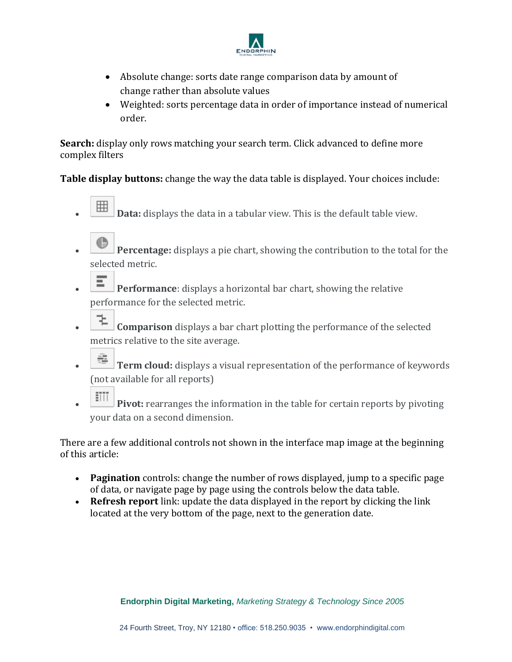

- Absolute change: sorts date range comparison data by amount of change rather than absolute values
- [Weighted:](https://support-content-draft.corp.google.com/analytics/answer/1042020?hl=en) sorts percentage data in order of importance instead of numerical order.

**Search:** display only rows matching your search term. Click advanced to define more complex filters

**Table display buttons:** change the way the data table is displayed. Your choices include:

- **EXALCENTER 19 Data:** displays the data in a tabular view. This is the default table view.
- **Percentage:** displays a pie chart, showing the contribution to the total for the selected metric.
- **Performance**: displays a horizontal bar chart, showing the relative performance for the selected metric.
- **Comparison** displays a bar chart plotting the performance of the selected metrics relative to the site average.
- **F** Term cloud: displays a visual representation of the performance of keywords (not available for all reports)
- **FIII** Pivot: rearranges the information in the table for certain reports by pivoting your data on a second dimension.

There are a few additional controls not shown in the interface map image at the beginning of this article:

- **Pagination** controls: change the number of rows displayed, jump to a specific page of data, or navigate page by page using the controls below the data table.
- **Refresh report** link: update the data displayed in the report by clicking the link located at the very bottom of the page, next to the generation date.